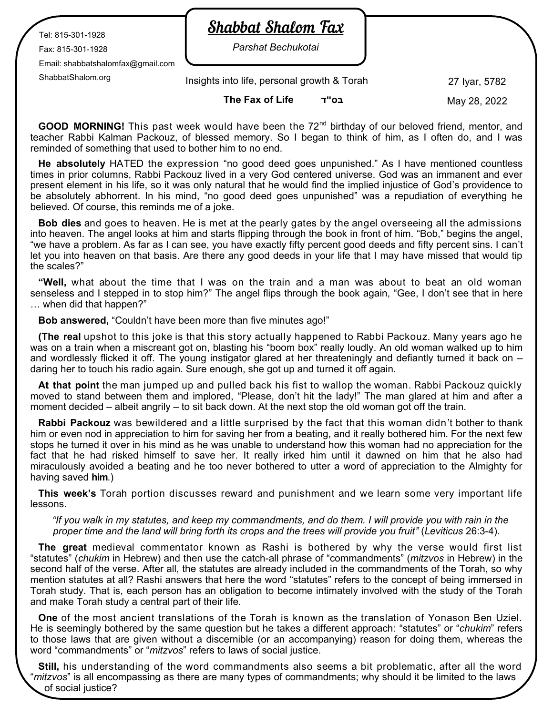Tel: 815-301-1928

Fax: 815-301-1928

Email: shabbatshalomfax@gmail.com

## **Shabbat Shalom Fax**

*Parshat Bechukotai*

ShabbatShalom.org 27 Iyar, 5782 Insights into life, personal growth & Torah

**The Fax of Life ד"בס**

May 28, 2022

**GOOD MORNING!** This past week would have been the 72<sup>nd</sup> birthday of our beloved friend, mentor, and teacher Rabbi Kalman Packouz, of blessed memory. So I began to think of him, as I often do, and I was reminded of something that used to bother him to no end.

**He absolutely** HATED the expression "no good deed goes unpunished." As I have mentioned countless times in prior columns, Rabbi Packouz lived in a very God centered universe. God was an immanent and ever present element in his life, so it was only natural that he would find the implied injustice of God's providence to be absolutely abhorrent. In his mind, "no good deed goes unpunished" was a repudiation of everything he believed. Of course, this reminds me of a joke.

**Bob dies** and goes to heaven. He is met at the pearly gates by the angel overseeing all the admissions into heaven. The angel looks at him and starts flipping through the book in front of him. "Bob," begins the angel, "we have a problem. As far as I can see, you have exactly fifty percent good deeds and fifty percent sins. I can't let you into heaven on that basis. Are there any good deeds in your life that I may have missed that would tip the scales?"

**"Well,** what about the time that I was on the train and a man was about to beat an old woman senseless and I stepped in to stop him?" The angel flips through the book again, "Gee, I don't see that in here … when did that happen?"

**Bob answered,** "Couldn't have been more than five minutes ago!"

**(The real** upshot to this joke is that this story actually happened to Rabbi Packouz. Many years ago he was on a train when a miscreant got on, blasting his "boom box" really loudly. An old woman walked up to him and wordlessly flicked it off. The young instigator glared at her threateningly and defiantly turned it back on – daring her to touch his radio again. Sure enough, she got up and turned it off again.

**At that point** the man jumped up and pulled back his fist to wallop the woman. Rabbi Packouz quickly moved to stand between them and implored, "Please, don't hit the lady!" The man glared at him and after a moment decided – albeit angrily – to sit back down. At the next stop the old woman got off the train.

**Rabbi Packouz** was bewildered and a little surprised by the fact that this woman didn't bother to thank him or even nod in appreciation to him for saving her from a beating, and it really bothered him. For the next few stops he turned it over in his mind as he was unable to understand how this woman had no appreciation for the fact that he had risked himself to save her. It really irked him until it dawned on him that he also had miraculously avoided a beating and he too never bothered to utter a word of appreciation to the Almighty for having saved **him**.)

**This week's** Torah portion discusses reward and punishment and we learn some very important life lessons.

## *"If you walk in my statutes, and keep my commandments, and do them. I will provide you with rain in the proper time and the land will bring forth its crops and the trees will provide you fruit"* (*Leviticus* 26:3-4).

**The great** medieval commentator known as Rashi is bothered by why the verse would first list "statutes" (*chukim* in Hebrew) and then use the catch-all phrase of "commandments" (*mitzvos* in Hebrew) in the second half of the verse. After all, the statutes are already included in the commandments of the Torah, so why mention statutes at all? Rashi answers that here the word "statutes" refers to the concept of being immersed in Torah study. That is, each person has an obligation to become intimately involved with the study of the Torah and make Torah study a central part of their life.

**One** of the most ancient translations of the Torah is known as the translation of Yonason Ben Uziel. He is seemingly bothered by the same question but he takes a different approach: "statutes" or "*chukim*" refers to those laws that are given without a discernible (or an accompanying) reason for doing them, whereas the word "commandments" or "*mitzvos*" refers to laws of social justice.

**Still,** his understanding of the word commandments also seems a bit problematic, after all the word "*mitzvos*" is all encompassing as there are many types of commandments; why should it be limited to the laws of social justice?